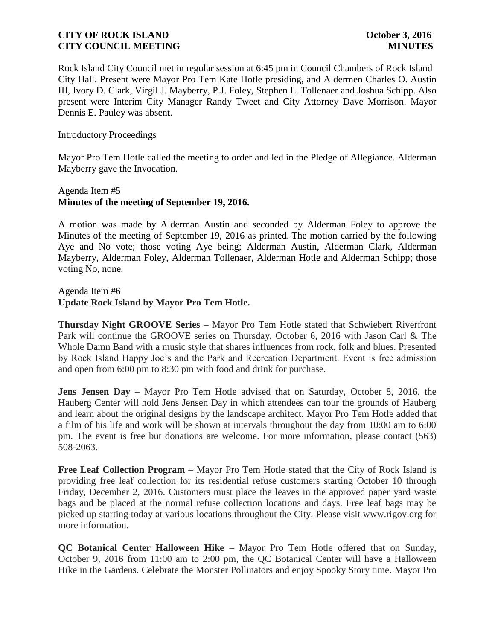Rock Island City Council met in regular session at 6:45 pm in Council Chambers of Rock Island City Hall. Present were Mayor Pro Tem Kate Hotle presiding, and Aldermen Charles O. Austin III, Ivory D. Clark, Virgil J. Mayberry, P.J. Foley, Stephen L. Tollenaer and Joshua Schipp. Also present were Interim City Manager Randy Tweet and City Attorney Dave Morrison. Mayor Dennis E. Pauley was absent.

#### Introductory Proceedings

Mayor Pro Tem Hotle called the meeting to order and led in the Pledge of Allegiance. Alderman Mayberry gave the Invocation.

## Agenda Item #5 **Minutes of the meeting of September 19, 2016.**

A motion was made by Alderman Austin and seconded by Alderman Foley to approve the Minutes of the meeting of September 19, 2016 as printed. The motion carried by the following Aye and No vote; those voting Aye being; Alderman Austin, Alderman Clark, Alderman Mayberry, Alderman Foley, Alderman Tollenaer, Alderman Hotle and Alderman Schipp; those voting No, none.

#### Agenda Item #6 **Update Rock Island by Mayor Pro Tem Hotle.**

**Thursday Night GROOVE Series** – Mayor Pro Tem Hotle stated that Schwiebert Riverfront Park will continue the GROOVE series on Thursday, October 6, 2016 with Jason Carl & The Whole Damn Band with a music style that shares influences from rock, folk and blues. Presented by Rock Island Happy Joe's and the Park and Recreation Department. Event is free admission and open from 6:00 pm to 8:30 pm with food and drink for purchase.

**Jens Jensen Day** – Mayor Pro Tem Hotle advised that on Saturday, October 8, 2016, the Hauberg Center will hold Jens Jensen Day in which attendees can tour the grounds of Hauberg and learn about the original designs by the landscape architect. Mayor Pro Tem Hotle added that a film of his life and work will be shown at intervals throughout the day from 10:00 am to 6:00 pm. The event is free but donations are welcome. For more information, please contact (563) 508-2063.

**Free Leaf Collection Program** – Mayor Pro Tem Hotle stated that the City of Rock Island is providing free leaf collection for its residential refuse customers starting October 10 through Friday, December 2, 2016. Customers must place the leaves in the approved paper yard waste bags and be placed at the normal refuse collection locations and days. Free leaf bags may be picked up starting today at various locations throughout the City. Please visit www.rigov.org for more information.

**QC Botanical Center Halloween Hike** – Mayor Pro Tem Hotle offered that on Sunday, October 9, 2016 from 11:00 am to 2:00 pm, the QC Botanical Center will have a Halloween Hike in the Gardens. Celebrate the Monster Pollinators and enjoy Spooky Story time. Mayor Pro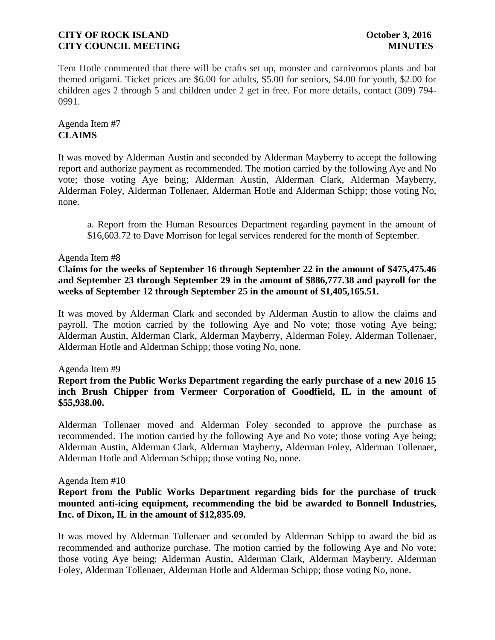Tem Hotle commented that there will be crafts set up, monster and carnivorous plants and bat themed origami. Ticket prices are \$6.00 for adults, \$5.00 for seniors, \$4.00 for youth, \$2.00 for children ages 2 through 5 and children under 2 get in free. For more details, contact (309) 794- 0991.

## Agenda Item #7 **CLAIMS**

It was moved by Alderman Austin and seconded by Alderman Mayberry to accept the following report and authorize payment as recommended. The motion carried by the following Aye and No vote; those voting Aye being; Alderman Austin, Alderman Clark, Alderman Mayberry, Alderman Foley, Alderman Tollenaer, Alderman Hotle and Alderman Schipp; those voting No, none.

a. Report from the Human Resources Department regarding payment in the amount of \$16,603.72 to Dave Morrison for legal services rendered for the month of September.

## Agenda Item #8

## **Claims for the weeks of September 16 through September 22 in the amount of \$475,475.46 and September 23 through September 29 in the amount of \$886,777.38 and payroll for the weeks of September 12 through September 25 in the amount of \$1,405,165.51.**

It was moved by Alderman Clark and seconded by Alderman Austin to allow the claims and payroll. The motion carried by the following Aye and No vote; those voting Aye being; Alderman Austin, Alderman Clark, Alderman Mayberry, Alderman Foley, Alderman Tollenaer, Alderman Hotle and Alderman Schipp; those voting No, none.

#### Agenda Item #9

## **Report from the Public Works Department regarding the early purchase of a new 2016 15 inch Brush Chipper from Vermeer Corporation of Goodfield, IL in the amount of \$55,938.00.**

Alderman Tollenaer moved and Alderman Foley seconded to approve the purchase as recommended. The motion carried by the following Aye and No vote; those voting Aye being; Alderman Austin, Alderman Clark, Alderman Mayberry, Alderman Foley, Alderman Tollenaer, Alderman Hotle and Alderman Schipp; those voting No, none.

#### Agenda Item #10

## **Report from the Public Works Department regarding bids for the purchase of truck mounted anti-icing equipment, recommending the bid be awarded to Bonnell Industries, Inc. of Dixon, IL in the amount of \$12,835.09.**

It was moved by Alderman Tollenaer and seconded by Alderman Schipp to award the bid as recommended and authorize purchase. The motion carried by the following Aye and No vote; those voting Aye being; Alderman Austin, Alderman Clark, Alderman Mayberry, Alderman Foley, Alderman Tollenaer, Alderman Hotle and Alderman Schipp; those voting No, none.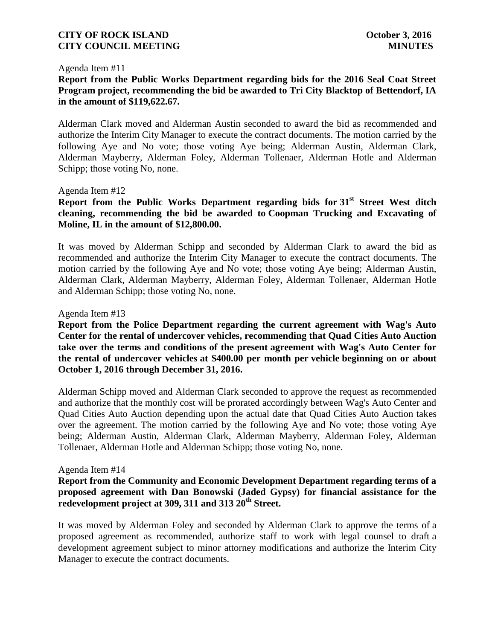#### Agenda Item #11

## **Report from the Public Works Department regarding bids for the 2016 Seal Coat Street Program project, recommending the bid be awarded to Tri City Blacktop of Bettendorf, IA in the amount of \$119,622.67.**

Alderman Clark moved and Alderman Austin seconded to award the bid as recommended and authorize the Interim City Manager to execute the contract documents. The motion carried by the following Aye and No vote; those voting Aye being; Alderman Austin, Alderman Clark, Alderman Mayberry, Alderman Foley, Alderman Tollenaer, Alderman Hotle and Alderman Schipp; those voting No, none.

#### Agenda Item #12

# **Report from the Public Works Department regarding bids for 31st Street West ditch cleaning, recommending the bid be awarded to Coopman Trucking and Excavating of Moline, IL in the amount of \$12,800.00.**

It was moved by Alderman Schipp and seconded by Alderman Clark to award the bid as recommended and authorize the Interim City Manager to execute the contract documents. The motion carried by the following Aye and No vote; those voting Aye being; Alderman Austin, Alderman Clark, Alderman Mayberry, Alderman Foley, Alderman Tollenaer, Alderman Hotle and Alderman Schipp; those voting No, none.

#### Agenda Item #13

**Report from the Police Department regarding the current agreement with Wag's Auto Center for the rental of undercover vehicles, recommending that Quad Cities Auto Auction take over the terms and conditions of the present agreement with Wag's Auto Center for the rental of undercover vehicles at \$400.00 per month per vehicle beginning on or about October 1, 2016 through December 31, 2016.**

Alderman Schipp moved and Alderman Clark seconded to approve the request as recommended and authorize that the monthly cost will be prorated accordingly between Wag's Auto Center and Quad Cities Auto Auction depending upon the actual date that Quad Cities Auto Auction takes over the agreement. The motion carried by the following Aye and No vote; those voting Aye being; Alderman Austin, Alderman Clark, Alderman Mayberry, Alderman Foley, Alderman Tollenaer, Alderman Hotle and Alderman Schipp; those voting No, none.

#### Agenda Item #14

## **Report from the Community and Economic Development Department regarding terms of a proposed agreement with Dan Bonowski (Jaded Gypsy) for financial assistance for the redevelopment project at 309, 311 and 313 20th Street.**

It was moved by Alderman Foley and seconded by Alderman Clark to approve the terms of a proposed agreement as recommended, authorize staff to work with legal counsel to draft a development agreement subject to minor attorney modifications and authorize the Interim City Manager to execute the contract documents.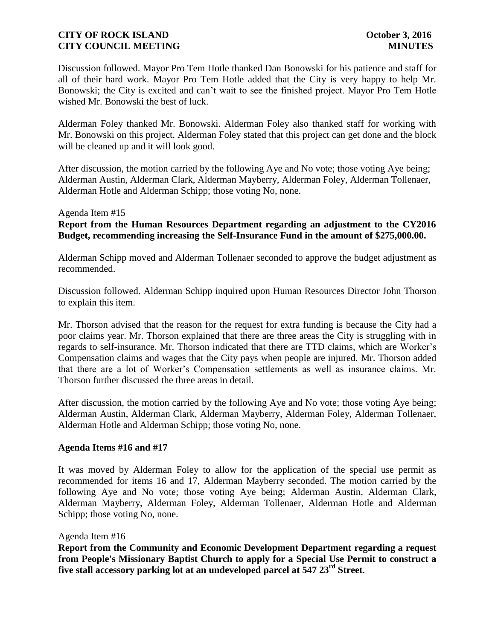Discussion followed. Mayor Pro Tem Hotle thanked Dan Bonowski for his patience and staff for all of their hard work. Mayor Pro Tem Hotle added that the City is very happy to help Mr. Bonowski; the City is excited and can't wait to see the finished project. Mayor Pro Tem Hotle wished Mr. Bonowski the best of luck.

Alderman Foley thanked Mr. Bonowski. Alderman Foley also thanked staff for working with Mr. Bonowski on this project. Alderman Foley stated that this project can get done and the block will be cleaned up and it will look good.

After discussion, the motion carried by the following Aye and No vote; those voting Aye being; Alderman Austin, Alderman Clark, Alderman Mayberry, Alderman Foley, Alderman Tollenaer, Alderman Hotle and Alderman Schipp; those voting No, none.

#### Agenda Item #15

## **Report from the Human Resources Department regarding an adjustment to the CY2016 Budget, recommending increasing the Self-Insurance Fund in the amount of \$275,000.00.**

Alderman Schipp moved and Alderman Tollenaer seconded to approve the budget adjustment as recommended.

Discussion followed. Alderman Schipp inquired upon Human Resources Director John Thorson to explain this item.

Mr. Thorson advised that the reason for the request for extra funding is because the City had a poor claims year. Mr. Thorson explained that there are three areas the City is struggling with in regards to self-insurance. Mr. Thorson indicated that there are TTD claims, which are Worker's Compensation claims and wages that the City pays when people are injured. Mr. Thorson added that there are a lot of Worker's Compensation settlements as well as insurance claims. Mr. Thorson further discussed the three areas in detail.

After discussion, the motion carried by the following Aye and No vote; those voting Aye being; Alderman Austin, Alderman Clark, Alderman Mayberry, Alderman Foley, Alderman Tollenaer, Alderman Hotle and Alderman Schipp; those voting No, none.

#### **Agenda Items #16 and #17**

It was moved by Alderman Foley to allow for the application of the special use permit as recommended for items 16 and 17, Alderman Mayberry seconded. The motion carried by the following Aye and No vote; those voting Aye being; Alderman Austin, Alderman Clark, Alderman Mayberry, Alderman Foley, Alderman Tollenaer, Alderman Hotle and Alderman Schipp; those voting No, none.

#### Agenda Item #16

**Report from the Community and Economic Development Department regarding a request from People's Missionary Baptist Church to apply for a Special Use Permit to construct a five stall accessory parking lot at an undeveloped parcel at 547 23rd Street**.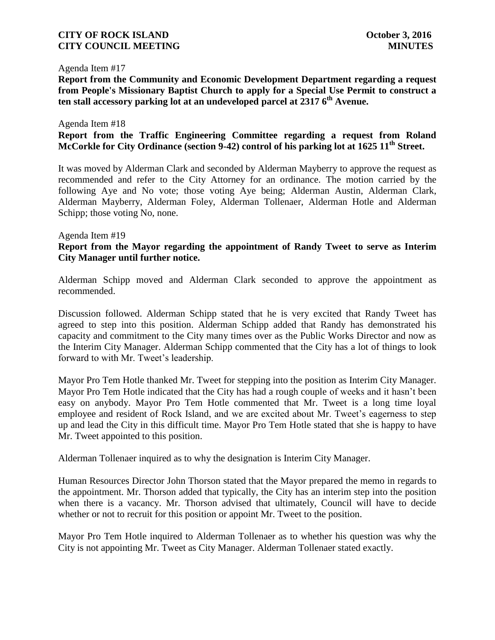#### Agenda Item #17

**Report from the Community and Economic Development Department regarding a request from People's Missionary Baptist Church to apply for a Special Use Permit to construct a ten stall accessory parking lot at an undeveloped parcel at 2317 6th Avenue.**

#### Agenda Item #18

## **Report from the Traffic Engineering Committee regarding a request from Roland McCorkle for City Ordinance (section 9-42) control of his parking lot at 1625 11th Street.**

It was moved by Alderman Clark and seconded by Alderman Mayberry to approve the request as recommended and refer to the City Attorney for an ordinance. The motion carried by the following Aye and No vote; those voting Aye being; Alderman Austin, Alderman Clark, Alderman Mayberry, Alderman Foley, Alderman Tollenaer, Alderman Hotle and Alderman Schipp; those voting No, none.

#### Agenda Item #19

## **Report from the Mayor regarding the appointment of Randy Tweet to serve as Interim City Manager until further notice.**

Alderman Schipp moved and Alderman Clark seconded to approve the appointment as recommended.

Discussion followed. Alderman Schipp stated that he is very excited that Randy Tweet has agreed to step into this position. Alderman Schipp added that Randy has demonstrated his capacity and commitment to the City many times over as the Public Works Director and now as the Interim City Manager. Alderman Schipp commented that the City has a lot of things to look forward to with Mr. Tweet's leadership.

Mayor Pro Tem Hotle thanked Mr. Tweet for stepping into the position as Interim City Manager. Mayor Pro Tem Hotle indicated that the City has had a rough couple of weeks and it hasn't been easy on anybody. Mayor Pro Tem Hotle commented that Mr. Tweet is a long time loyal employee and resident of Rock Island, and we are excited about Mr. Tweet's eagerness to step up and lead the City in this difficult time. Mayor Pro Tem Hotle stated that she is happy to have Mr. Tweet appointed to this position.

Alderman Tollenaer inquired as to why the designation is Interim City Manager.

Human Resources Director John Thorson stated that the Mayor prepared the memo in regards to the appointment. Mr. Thorson added that typically, the City has an interim step into the position when there is a vacancy. Mr. Thorson advised that ultimately, Council will have to decide whether or not to recruit for this position or appoint Mr. Tweet to the position.

Mayor Pro Tem Hotle inquired to Alderman Tollenaer as to whether his question was why the City is not appointing Mr. Tweet as City Manager. Alderman Tollenaer stated exactly.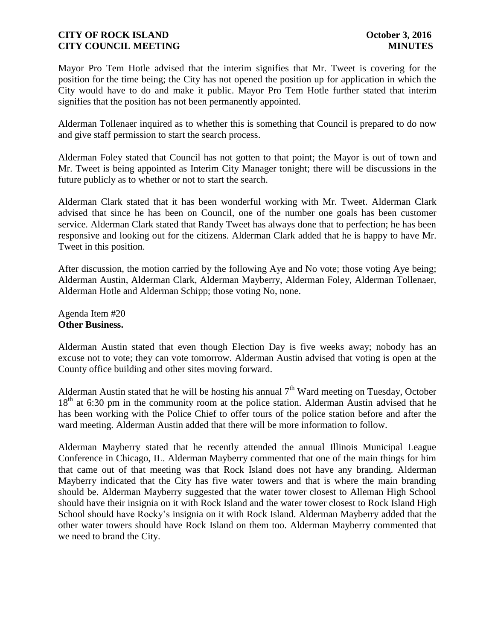Mayor Pro Tem Hotle advised that the interim signifies that Mr. Tweet is covering for the position for the time being; the City has not opened the position up for application in which the City would have to do and make it public. Mayor Pro Tem Hotle further stated that interim signifies that the position has not been permanently appointed.

Alderman Tollenaer inquired as to whether this is something that Council is prepared to do now and give staff permission to start the search process.

Alderman Foley stated that Council has not gotten to that point; the Mayor is out of town and Mr. Tweet is being appointed as Interim City Manager tonight; there will be discussions in the future publicly as to whether or not to start the search.

Alderman Clark stated that it has been wonderful working with Mr. Tweet. Alderman Clark advised that since he has been on Council, one of the number one goals has been customer service. Alderman Clark stated that Randy Tweet has always done that to perfection; he has been responsive and looking out for the citizens. Alderman Clark added that he is happy to have Mr. Tweet in this position.

After discussion, the motion carried by the following Aye and No vote; those voting Aye being; Alderman Austin, Alderman Clark, Alderman Mayberry, Alderman Foley, Alderman Tollenaer, Alderman Hotle and Alderman Schipp; those voting No, none.

Agenda Item #20 **Other Business.**

Alderman Austin stated that even though Election Day is five weeks away; nobody has an excuse not to vote; they can vote tomorrow. Alderman Austin advised that voting is open at the County office building and other sites moving forward.

Alderman Austin stated that he will be hosting his annual  $7<sup>th</sup>$  Ward meeting on Tuesday, October 18<sup>th</sup> at 6:30 pm in the community room at the police station. Alderman Austin advised that he has been working with the Police Chief to offer tours of the police station before and after the ward meeting. Alderman Austin added that there will be more information to follow.

Alderman Mayberry stated that he recently attended the annual Illinois Municipal League Conference in Chicago, IL. Alderman Mayberry commented that one of the main things for him that came out of that meeting was that Rock Island does not have any branding. Alderman Mayberry indicated that the City has five water towers and that is where the main branding should be. Alderman Mayberry suggested that the water tower closest to Alleman High School should have their insignia on it with Rock Island and the water tower closest to Rock Island High School should have Rocky's insignia on it with Rock Island. Alderman Mayberry added that the other water towers should have Rock Island on them too. Alderman Mayberry commented that we need to brand the City.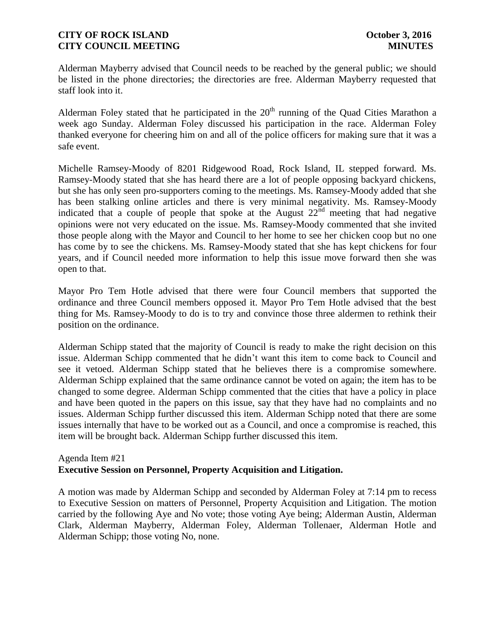Alderman Mayberry advised that Council needs to be reached by the general public; we should be listed in the phone directories; the directories are free. Alderman Mayberry requested that staff look into it.

Alderman Foley stated that he participated in the  $20<sup>th</sup>$  running of the Quad Cities Marathon a week ago Sunday. Alderman Foley discussed his participation in the race. Alderman Foley thanked everyone for cheering him on and all of the police officers for making sure that it was a safe event.

Michelle Ramsey-Moody of 8201 Ridgewood Road, Rock Island, IL stepped forward. Ms. Ramsey-Moody stated that she has heard there are a lot of people opposing backyard chickens, but she has only seen pro-supporters coming to the meetings. Ms. Ramsey-Moody added that she has been stalking online articles and there is very minimal negativity. Ms. Ramsey-Moody indicated that a couple of people that spoke at the August 22<sup>nd</sup> meeting that had negative opinions were not very educated on the issue. Ms. Ramsey-Moody commented that she invited those people along with the Mayor and Council to her home to see her chicken coop but no one has come by to see the chickens. Ms. Ramsey-Moody stated that she has kept chickens for four years, and if Council needed more information to help this issue move forward then she was open to that.

Mayor Pro Tem Hotle advised that there were four Council members that supported the ordinance and three Council members opposed it. Mayor Pro Tem Hotle advised that the best thing for Ms. Ramsey-Moody to do is to try and convince those three aldermen to rethink their position on the ordinance.

Alderman Schipp stated that the majority of Council is ready to make the right decision on this issue. Alderman Schipp commented that he didn't want this item to come back to Council and see it vetoed. Alderman Schipp stated that he believes there is a compromise somewhere. Alderman Schipp explained that the same ordinance cannot be voted on again; the item has to be changed to some degree. Alderman Schipp commented that the cities that have a policy in place and have been quoted in the papers on this issue, say that they have had no complaints and no issues. Alderman Schipp further discussed this item. Alderman Schipp noted that there are some issues internally that have to be worked out as a Council, and once a compromise is reached, this item will be brought back. Alderman Schipp further discussed this item.

#### Agenda Item #21 **Executive Session on Personnel, Property Acquisition and Litigation.**

A motion was made by Alderman Schipp and seconded by Alderman Foley at 7:14 pm to recess to Executive Session on matters of Personnel, Property Acquisition and Litigation. The motion carried by the following Aye and No vote; those voting Aye being; Alderman Austin, Alderman Clark, Alderman Mayberry, Alderman Foley, Alderman Tollenaer, Alderman Hotle and Alderman Schipp; those voting No, none.